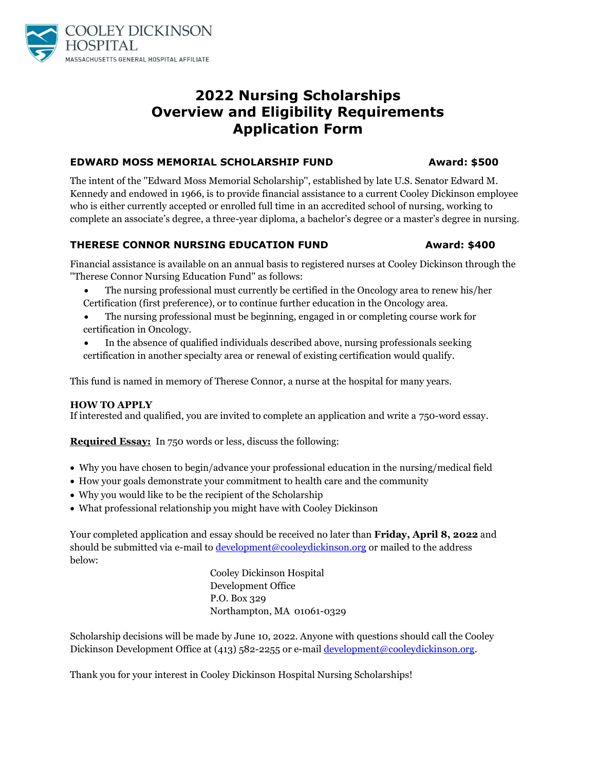

## **2022 Nursing Scholarships Overview and Eligibility Requirements Application Form**

#### **EDWARD MOSS MEMORIAL SCHOLARSHIP FUND Award: \$500**

The intent of the ''Edward Moss Memorial Scholarship'', established by late U.S. Senator Edward M. Kennedy and endowed in 1966, is to provide financial assistance to a current Cooley Dickinson employee who is either currently accepted or enrolled full time in an accredited school of nursing, working to complete an associate's degree, a three-year diploma, a bachelor's degree or a master's degree in nursing.

#### **THERESE CONNOR NURSING EDUCATION FUND Award: \$400**

Financial assistance is available on an annual basis to registered nurses at Cooley Dickinson through the ''Therese Connor Nursing Education Fund'' as follows:

- The nursing professional must currently be certified in the Oncology area to renew his/her Certification (first preference), or to continue further education in the Oncology area.
- The nursing professional must be beginning, engaged in or completing course work for certification in Oncology.
- In the absence of qualified individuals described above, nursing professionals seeking certification in another specialty area or renewal of existing certification would qualify.

This fund is named in memory of Therese Connor, a nurse at the hospital for many years.

#### **HOW TO APPLY**

If interested and qualified, you are invited to complete an application and write a 750-word essay.

**Required Essay:** In 750 words or less, discuss the following:

- Why you have chosen to begin/advance your professional education in the nursing/medical field
- How your goals demonstrate your commitment to health care and the community
- Why you would like to be the recipient of the Scholarship
- What professional relationship you might have with Cooley Dickinson

Your completed application and essay should be received no later than **Friday, April 8, 2022** and should be submitted via e-mail t[o development@cooleydickinson.org](mailto:development@cooleydickinson.org) or mailed to the address below:

> Cooley Dickinson Hospital Development Office P.O. Box 329 Northampton, MA 01061-0329

Scholarship decisions will be made by June 10, 2022. Anyone with questions should call the Cooley Dickinson Development Office at (413) 582-2255 or e-mail [development@cooleydickinson.org.](mailto:development@cooleydickinson.org)

Thank you for your interest in Cooley Dickinson Hospital Nursing Scholarships!